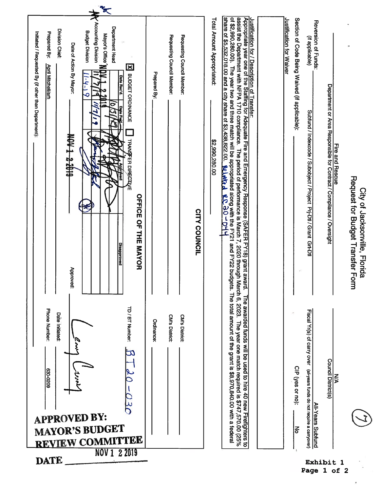| Accounting Division<br>Department Head<br>Division Chief:<br><b>Budget Division</b><br>Prepared By:<br>Initiated / Requested By (if other than Department):<br>Mayor's Office'<br>Date of Action By Mayor:<br><b>April Mitchell/arh</b><br>X BUDGET ORDINANCE<br>Date Rec'd.<br>$(-4)$<br>Ó<br><b>AIRE &amp; TAON</b><br><b>TRANGFER DIRECTLYE</b><br><b>OFFICE OF THE MAYOR</b><br><b>Disapproved</b><br>Approved: | Requesting Council Member:<br>Requesting Council Member:<br>Prepared By:<br><b>CITY COUNCIL</b> | share of \$5,532,018.00 and a city share of \$3,438,822.00.<br>assist the Department with NFPA 1710 compliance. The period of performance is March 7, 2020 through March 6, 2023. The year one match required is \$747,570.00 (25%<br>Justification for / Description of Transfer:<br> Appropriate year one of the Staffing for Adequate Fire and Emergency Response (SAFER FY18) grant award.<br>of \$2,990,280.00). The year two and three match will be appropriated along with the FY21 and FY22 budgets. The total amount of the grant is \$8,970,840.00 with a federal<br>Total Amount Appropriated:<br>\$2,990,280.00<br><b>Polatical</b><br><b>PO-06.29</b><br>F | Section of Code Being Waived (if applicable):<br>Justification for Waiver<br>Reversion of Funds:<br>(if applicable)<br>Department or Area Responsible for Contract / Compliance / Oversight<br>Subfund / Indexcode / Subobject / Project Prj-Dtl / Grant Grt-Dtl<br><b>Fire and Rescue</b><br>Request for Budget Transfer Form | City of Jacksonville, Florida |
|---------------------------------------------------------------------------------------------------------------------------------------------------------------------------------------------------------------------------------------------------------------------------------------------------------------------------------------------------------------------------------------------------------------------|-------------------------------------------------------------------------------------------------|--------------------------------------------------------------------------------------------------------------------------------------------------------------------------------------------------------------------------------------------------------------------------------------------------------------------------------------------------------------------------------------------------------------------------------------------------------------------------------------------------------------------------------------------------------------------------------------------------------------------------------------------------------------------------|--------------------------------------------------------------------------------------------------------------------------------------------------------------------------------------------------------------------------------------------------------------------------------------------------------------------------------|-------------------------------|
| TD / BT Number:<br>Phone Number:<br>Date Initiated:<br>890-0209<br><b>APPROVED BY:</b><br><b>MAYOR'S BUDGET</b><br><b>REVIEW COMMITTEE</b><br>NOV 1 2 2019<br><b>DATE</b>                                                                                                                                                                                                                                           | CM's District:<br><b>CM's District:</b><br>Ordinance:                                           | The awarded funds will be used to hire 40 new Firefighters to                                                                                                                                                                                                                                                                                                                                                                                                                                                                                                                                                                                                            | Fiscal Yr(s) of carry over<br><b>Council District(s)</b><br>CIP (yes or no):<br>(all-years funds do not require a carryover)<br>⋚<br>All-Years Subfund<br>중<br>Exhibit 1                                                                                                                                                       |                               |